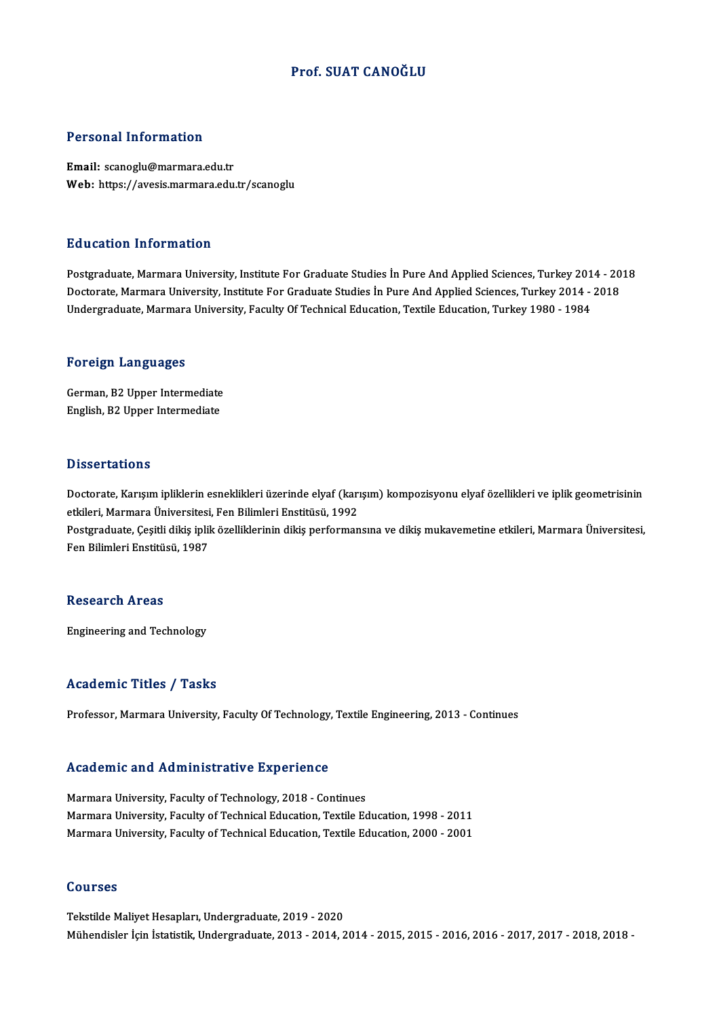### Prof. SUAT CANOĞLU

### Personal Information

Email: scanoglu@marmara.edu.tr Web: https://avesis.marmara.edu.tr/scanoglu

### Education Information

Education Information<br>Postgraduate, Marmara University, Institute For Graduate Studies İn Pure And Applied Sciences, Turkey 2014 - 2018<br>Posterate Marmara University, Institute For Craduate Studies İn Pure And Applied Scien Du d'eutren Infernation<br>Postgraduate, Marmara University, Institute For Graduate Studies İn Pure And Applied Sciences, Turkey 2014 - 20<br>Undergraduate Marmara University, Institute For Graduate Studies İn Pure And Applied S Doctorate, Marmara University, Institute For Graduate Studies İn Pure And Applied Sciences, Turkey 2014 - 2018<br>Undergraduate, Marmara University, Faculty Of Technical Education, Textile Education, Turkey 1980 - 1984

### Foreign Languages

German,B2Upper Intermediate English,B2Upper Intermediate

### **Dissertations**

Dissertations<br>Doctorate, Karışım ipliklerin esneklikleri üzerinde elyaf (karışım) kompozisyonu elyaf özellikleri ve iplik geometrisinin<br>etkileri Marmara Üniversitesi, Fen Pilimleri Enstitüeü, 1992 e seees tasione<br>Doctorate, Karışım ipliklerin esneklikleri üzerinde elyaf (karı<br>etkileri, Marmara Üniversitesi, Fen Bilimleri Enstitüsü, 1992<br>Postaraduate Cesitli dikis iplik örelliklerinin dikis performan Doctorate, Karışım ipliklerin esneklikleri üzerinde elyaf (karışım) kompozisyonu elyaf özellikleri ve iplik geometrisinin<br>etkileri, Marmara Üniversitesi, Fen Bilimleri Enstitüsü, 1992<br>Postgraduate, Çeşitli dikiş iplik özel etkileri, Marmara Üniversitesi<br>Postgraduate, Çeşitli dikiş iplil<br>Fen Bilimleri Enstitüsü, 1987

Fen Bilimleri Enstitüsü, 1987<br>Research Areas

Engineering and Technology

### Academic Titles / Tasks

Professor, Marmara University, Faculty Of Technology, Textile Engineering, 2013 - Continues

### Academic and Administrative Experience

Marmara University, Faculty of Technology, 2018 - Continues Marmara University, Faculty of Technology, 2018 - Continues<br>Marmara University, Faculty of Technology, 2018 - Continues<br>Marmara University, Faculty of Technical Education, Textile Education, 1998 - 2011<br>Marmara University, Marmara University, Faculty of Technology, 2018 - Continues<br>Marmara University, Faculty of Technical Education, Textile Education, 1998 - 2011<br>Marmara University, Faculty of Technical Education, Textile Education, 2000 - 2 Marmara University, Faculty of Technical Education, Textile Education, 2000 - 2001<br>Courses

Tekstilde Maliyet Hesapları, Undergraduate, 2019 - 2020 Mühendisler İçinİstatistik,Undergraduate,2013 -2014,2014 -2015,2015 -2016,2016 -2017,2017 -2018,2018 -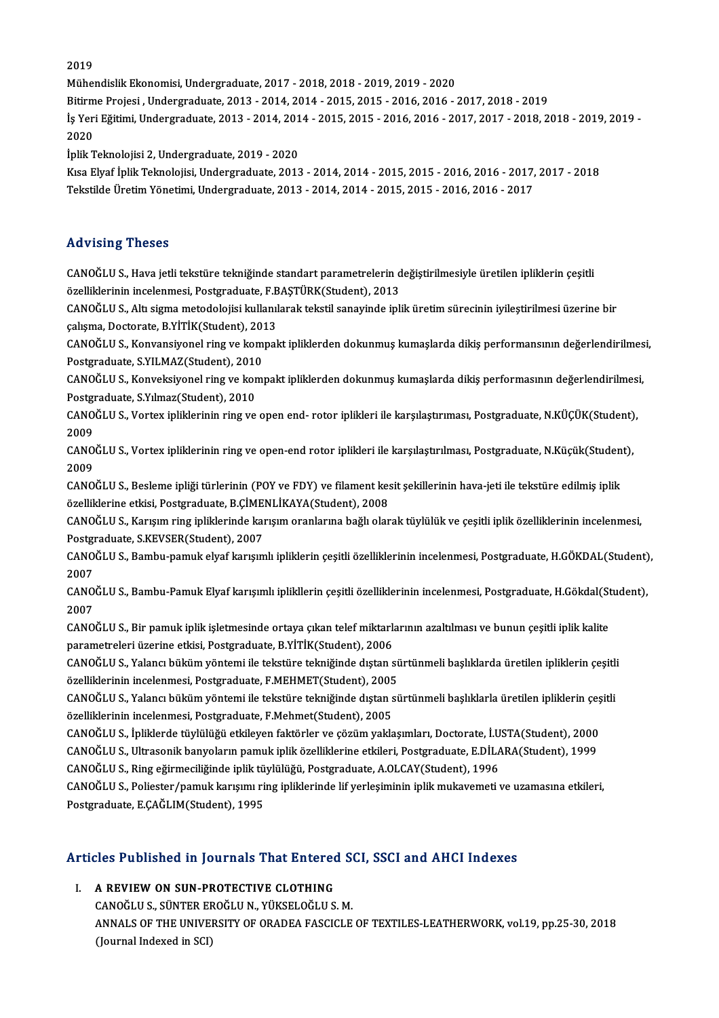2019

MühendislikEkonomisi,Undergraduate,2017 -2018,2018 -2019,2019 -2020

Bitirme Projesi, Undergraduate, 2013 - 2014, 2014 - 2015, 2015 - 2016, 2016 - 2017, 2018 - 2019

Mühendislik Ekonomisi, Undergraduate, 2017 - 2018, 2018 - 2019, 2019 - 2020<br>Bitirme Projesi , Undergraduate, 2013 - 2014, 2014 - 2015, 2015 - 2016, 2016 - 2017, 2018 - 2019<br>İş Yeri Eğitimi, Undergraduate, 2013 - 2014, 2014 Bitirm<br>İş Yer:<br>2020<br>İnlik T İş Yeri Eğitimi, Undergraduate, 2013 - 2014, 201<br>2020<br>İplik Teknolojisi 2, Undergraduate, 2019 - 2020<br>Kısa Fluaf İplik Teknolojisi, Undergraduate, 2013

2020<br>İplik Teknolojisi 2, Undergraduate, 2019 - 2020<br>Kısa Elyaf İplik Teknolojisi, Undergraduate, 2013 - 2014, 2014 - 2015, 2015 - 2016, 2016 - 2017, 2017 - 2018<br>Tekstilde Üretim Vönetimi, Undergraduate, 2013 - 2014, 2014, İplik Teknolojisi 2, Undergraduate, 2019 - 2020<br>Kısa Elyaf İplik Teknolojisi, Undergraduate, 2013 - 2014, 2014 - 2015, 2015 - 2016, 2016 - 2017,<br>Tekstilde Üretim Yönetimi, Undergraduate, 2013 - 2014, 2014 - 2015, 2015 - 20 Tekstilde Üretim Yönetimi, Undergraduate, 2013 - 2014, 2014 - 2015, 2015 - 2016, 2016 - 2017<br>Advising Theses

CANOĞLUS., Hava jetli tekstüre tekniğinde standart parametrelerin değiştirilmesiyle üretilen ipliklerin çeşitli raa viering i riceces<br>CANOĞLU S., Hava jetli tekstüre tekniğinde standart parametrelerin d<br>özelliklerinin incelenmesi, Postgraduate, F.BAŞTÜRK(Student), 2013<br>CANOĞLU S. Altı sisma matadelejisi kullanılarak tekstil sanayind

CANOĞLU S., Altı sigma metodolojisi kullanılarak tekstil sanayinde iplik üretim sürecinin iyileştirilmesi üzerine bir<br>çalışma, Doctorate, B.YİTİK(Student), 2013 özelliklerinin incelenmesi, Postgraduate, F.B<br>CANOĞLU S., Altı sigma metodolojisi kullanıl<br>çalışma, Doctorate, B.YİTİK(Student), 2013<br>CANOĞLU S. Konvensiyensl ring ve kempel CANOĞLU S., Altı sigma metodolojisi kullanılarak tekstil sanayinde iplik üretim sürecinin iyileştirilmesi üzerine bir<br>çalışma, Doctorate, B.YİTİK(Student), 2013<br>CANOĞLU S., Konvansiyonel ring ve kompakt ipliklerden dokunmu

çalışma, Doctorate, B.YİTİK(Student), 2013<br>CANOĞLU S., Konvansiyonel ring ve kom<br>Postgraduate, S.YILMAZ(Student), 2010<br>CANOĞLU S. Konvaksiyonel ring ve komu CANOĞLU S., Konvansiyonel ring ve kompakt ipliklerden dokunmuş kumaşlarda dikiş performansının değerlendirilmes<br>Postgraduate, S.YILMAZ(Student), 2010<br>CANOĞLU S., Konveksiyonel ring ve kompakt ipliklerden dokunmuş kumaşlard

Postgraduate, S.YILMAZ(Student), 2010<br>CANOĞLU S., Konveksiyonel ring ve kompakt ipliklerden dokunmuş kumaşlarda dikiş performasının değerlendirilmesi,<br>Postgraduate, S.Yılmaz(Student), 2010 CANOĞLU S., Konveksiyonel ring ve kompakt ipliklerden dokunmuş kumaşlarda dikiş performasının değerlendirilmes<br>Postgraduate, S.Yılmaz(Student), 2010<br>CANOĞLU S., Vortex ipliklerinin ring ve open end- rotor iplikleri ile kar

Postgi<br>CANO<br>2009<br>CANO CANOĞLU S., Vortex ipliklerinin ring ve open end- rotor iplikleri ile karşılaştırıması, Postgraduate, N.KÜÇÜK(Student)<br>2009<br>CANOĞLU S., Vortex ipliklerinin ring ve open-end rotor iplikleri ile karşılaştırılması, Postgradua

2009<br>CANO<br>2009<br>CANO CANOĞLU S., Vortex ipliklerinin ring ve open-end rotor iplikleri ile karşılaştırılması, Postgraduate, N.Küçük(Studen<br>2009<br>CANOĞLU S., Besleme ipliği türlerinin (POY ve FDY) ve filament kesit şekillerinin hava-jeti ile teks

2009<br>CANOĞLU S., Besleme ipliği türlerinin (POY ve FDY) ve filament kesit şekillerinin hava-jeti ile tekstüre edilmiş iplik<br>özelliklerine etkisi, Postgraduate, B.ÇİMENLİKAYA(Student), 2008 CANOĞLU S., Besleme ipliği türlerinin (POY ve FDY) ve filament kesit şekillerinin hava-jeti ile tekstüre edilmiş iplik<br>özelliklerine etkisi, Postgraduate, B.ÇİMENLİKAYA(Student), 2008<br>CANOĞLU S., Karışım ring ipliklerinde

özelliklerine etkisi, Postgraduate, B.ÇİME<br>CANOĞLU S., Karışım ring ipliklerinde kaı<br>Postgraduate, S.KEVSER(Student), 2007<br>CANOĞLU S. Bambu namuk akıaf kansım CANOĞLU S., Karışım ring ipliklerinde karışım oranlarına bağlı olarak tüylülük ve çeşitli iplik özelliklerinin incelenmesi,<br>Postgraduate, S.KEVSER(Student), 2007<br>CANOĞLU S., Bambu-pamuk elyaf karışımlı ipliklerin çeşitli ö

Postgi<br>CANO<br>2007<br>CANO CANOĞLU S., Bambu-pamuk elyaf karışımlı ipliklerin çeşitli özelliklerinin incelenmesi, Postgraduate, H.GÖKDAL(Student)<br>2007<br>CANOĞLU S., Bambu-Pamuk Elyaf karışımlı iplikllerin çeşitli özelliklerinin incelenmesi, Postgradua

2007<br>CANO<br>2007<br>CANO CANOĞLU S., Bambu-Pamuk Elyaf karışımlı iplikllerin çeşitli özelliklerinin incelenmesi, Postgraduate, H.Gökdal(St<br>2007<br>CANOĞLU S., Bir pamuk iplik işletmesinde ortaya çıkan telef miktarlarının azaltılması ve bunun çeşitli

2007<br>CANOĞLU S., Bir pamuk iplik işletmesinde ortaya çıkan telef miktarlarının azaltılması ve bunun çeşitli iplik kalite<br>parametreleri üzerine etkisi, Postgraduate, B.YİTİK(Student), 2006 CANOĞLU S., Bir pamuk iplik işletmesinde ortaya çıkan telef miktarlarının azaltılması ve bunun çeşitli iplik kalite<br>parametreleri üzerine etkisi, Postgraduate, B.YİTİK(Student), 2006<br>CANOĞLU S., Yalancı büküm yöntemi ile t

parametreleri üzerine etkisi, Postgraduate, B.YİTİK(Student), 2006<br>CANOĞLU S., Yalancı büküm yöntemi ile tekstüre tekniğinde dıştan sü<br>özelliklerinin incelenmesi, Postgraduate, F.MEHMET(Student), 2005<br>CANOĞLU S. Yalancı bü CANOĞLU S., Yalancı büküm yöntemi ile tekstüre tekniğinde dıştan sürtünmeli başlıklarda üretilen ipliklerin çeşitli<br>özelliklerinin incelenmesi, Postgraduate, F.MEHMET(Student), 2005<br>CANOĞLU S., Yalancı büküm yöntemi ile te

özelliklerinin incelenmesi, Postgraduate, F.MEHMET(Student), 2005<br>CANOĞLU S., Yalancı büküm yöntemi ile tekstüre tekniğinde dıştan sürtünmeli başlıklarla üretilen ipliklerin çeşitli<br>özelliklerinin incelenmesi, Postgraduate CANOĞLU S., Yalancı büküm yöntemi ile tekstüre tekniğinde dıştan sürtünmeli başlıklarla üretilen ipliklerin çeş<br>özelliklerinin incelenmesi, Postgraduate, F.Mehmet(Student), 2005<br>CANOĞLU S., İpliklerde tüylülüğü etkileyen f

özelliklerinin incelenmesi, Postgraduate, F.Mehmet(Student), 2005<br>CANOĞLU S., İpliklerde tüylülüğü etkileyen faktörler ve çözüm yaklaşımları, Doctorate, İ.USTA(Student), 2000<br>CANOĞLU S., Ultrasonik banyoların pamuk iplik ö CANOĞLU S., İpliklerde tüylülüğü etkileyen faktörler ve çözüm yaklaşımları, Doctorate, İ.U<br>CANOĞLU S., Ultrasonik banyoların pamuk iplik özelliklerine etkileri, Postgraduate, E.DİL.<br>CANOĞLU S., Ring eğirmeciliğinde iplik t

CANOĞLU S., Ring eğirmeciliğinde iplik tüylülüğü, Postgraduate, A.OLCAY(Student), 1996

CANOĞLU S., Ultrasonik banyoların pamuk iplik özelliklerine etkileri, Postgraduate, E.DİLARA(Student), 1999<br>CANOĞLU S., Ring eğirmeciliğinde iplik tüylülüğü, Postgraduate, A.OLCAY(Student), 1996<br>CANOĞLU S., Poliester/pamuk

# Posigraduate, E.CAGLIM(Student), 1995<br>Articles Published in Journals That Entered SCI, SSCI and AHCI Indexes **Tricles Published in Journals That Entered**<br>I. A REVIEW ON SUN-PROTECTIVE CLOTHING

CANOĞLUS.<br>A REVIEW ON SUN-PROTECTIVE CLOTHING<br>CANOĞLUS., SÜNTER EROĞLUN., YÜKSELOĞLUS.M.<br>ANNALS OF THE UNIVERSITY OF ORADEA FASCICLE I. A REVIEW ON SUN-PROTECTIVE CLOTHING<br>CANOĞLU S., SÜNTER EROĞLU N., YÜKSELOĞLU S. M.<br>ANNALS OF THE UNIVERSITY OF ORADEA FASCICLE OF TEXTILES-LEATHERWORK, vol.19, pp.25-30, 2018<br>(Journal Indexed in SCI) CANOĞLU S., SÜNTER EF<br>ANNALS OF THE UNIVEI<br>(Journal Indexed in SCI)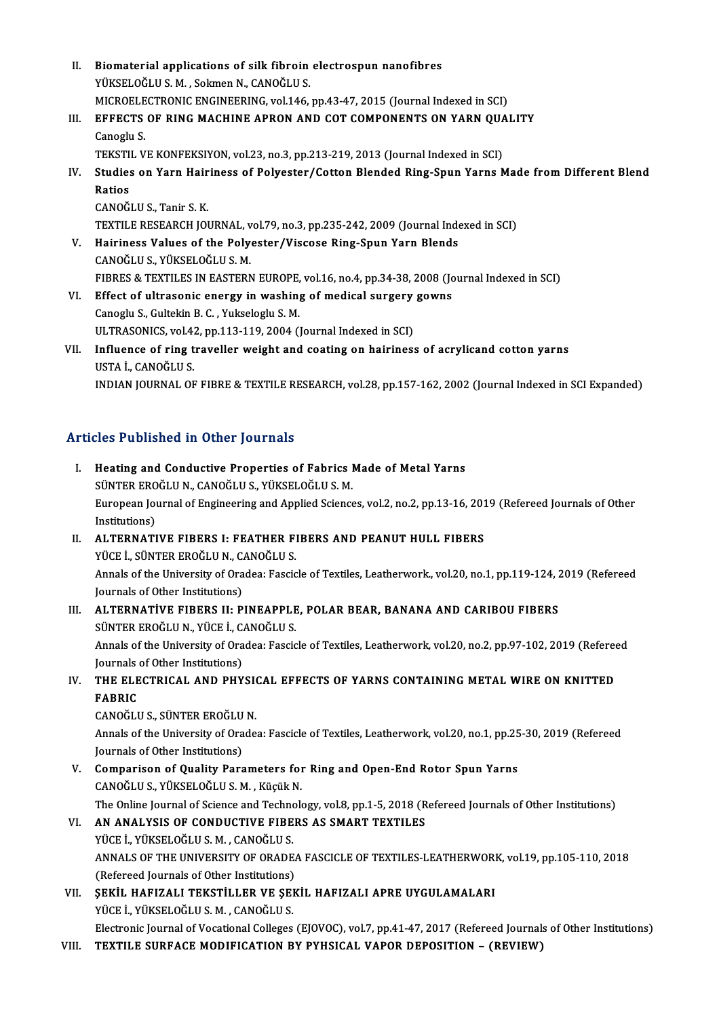- II. Biomaterial applications of silk fibroin electrospun nanofibres<br>VÜKSELOČLUS M. Selman N. CANOČLUS Biomaterial applications of silk fibroin<br>YÜKSELOĞLU S. M. , Sokmen N., CANOĞLU S.<br>MICROELECTRONIC ENCINEERINC. vol.146 Biomaterial applications of silk fibroin electrospun nanofibres<br>YÜKSELOĞLU S. M. , Sokmen N., CANOĞLU S.<br>MICROELECTRONIC ENGINEERING, vol.146, pp.43-47, 2015 (Journal Indexed in SCI)<br>EEEECTS OF BING MACHINE APRON AND COT C YÜKSELOĞLU S. M. , Sokmen N., CANOĞLU S.<br>MICROELECTRONIC ENGINEERING, vol.146, pp.43-47, 2015 (Journal Indexed in SCI)<br>III. EFFECTS OF RING MACHINE APRON AND COT COMPONENTS ON YARN QUALITY MICROELE<br>EFFECTS<br>Canoglu S.<br>TEKSTIL V EFFECTS OF RING MACHINE APRON AND COT COMPONENTS ON YARN QUA<br>Canoglu S.<br>TEKSTIL VE KONFEKSIYON, vol.23, no.3, pp.213-219, 2013 (Journal Indexed in SCI)<br>Studies on Yarn Hairiness of Bolyester (Cetter Blanded Bing Spun Yarns Canoglu S.<br>TEKSTIL VE KONFEKSIYON, vol.23, no.3, pp.213-219, 2013 (Journal Indexed in SCI)<br>IV. Studies on Yarn Hairiness of Polyester/Cotton Blended Ring-Spun Yarns Made from Different Blend<br>Paties TEKSTI<br>Studies<br>Ratios<br>CANOČI Studies on Yarn Hair<br>Ratios<br>CANOĞLU S., Tanir S. K.<br>TEVTU E PESEAPCH IOI Ratios<br>CANOĞLU S., Tanir S. K.<br>TEXTILE RESEARCH JOURNAL, vol.79, no.3, pp.235-242, 2009 (Journal Indexed in SCI)<br>Hairiness Values of the Bolysster (Vissese Bing Spun Yorn Blands CANOĞLU S., Tanir S. K.<br>TEXTILE RESEARCH JOURNAL, vol.79, no.3, pp.235-242, 2009 (Journal Index<br>V. Hairiness Values of the Polyester/Viscose Ring-Spun Yarn Blends<br>CANOĞLU S.. YÜKSELOĞLU S. M. TEXTILE RESEARCH JOURNAL, v<br>Hairiness Values of the Poly<br>CANOĞLU S., YÜKSELOĞLU S. M.<br>FIRDES & TEVTU ES IN FASTERN
- FIBRES & TEXTILES IN EASTERN EUROPE, vol.16, no.4, pp.34-38, 2008 (Journal Indexed in SCI) CANOĞLU S., YÜKSELOĞLU S. M.<br>FIBRES & TEXTILES IN EASTERN EUROPE, vol.16, no.4, pp.34-38, 2008 (Jonet).<br>VI. Effect of ultrasonic energy in washing of medical surgery gowns FIBRES & TEXTILES IN EASTERN EUROPE,<br>Effect of ultrasonic energy in washing<br>Canoglu S., Gultekin B. C. , Yukseloglu S. M.<br>III TRASONICS vol 42 nn 112 119 2004 ()
- Effect of ultrasonic energy in washing of medical surgery<br>Canoglu S., Gultekin B. C. , Yukseloglu S. M.<br>ULTRASONICS, vol.42, pp.113-119, 2004 (Journal Indexed in SCI)<br>Influence of ring traveller weight and costing on beini Canoglu S., Gultekin B. C. , Yukseloglu S. M.<br>ULTRASONICS, vol.42, pp.113-119, 2004 (Journal Indexed in SCI)<br>VII. Influence of ring traveller weight and coating on hairiness of acrylicand cotton yarns<br>USTA L CANOČLUS
- ULTRASONICS, vol.42<br>Influence of ring t<br>USTA İ., CANOĞLU S.<br>INDIAN IOUPNAL OR USTA İ., CANOĞLU S.<br>INDIAN JOURNAL OF FIBRE & TEXTILE RESEARCH, vol.28, pp.157-162, 2002 (Journal Indexed in SCI Expanded)

## Articles Published in Other Journals

Tricles Published in Other Journals<br>I. Heating and Conductive Properties of Fabrics Made of Metal Yarns<br>SÜNTER EROČLUN, CANOČLUS VÜKSELOČLUS M SEE TRESHEROR IN OCHET JORFHAND<br>Heating and Conductive Properties of Fabrics I<br>SÜNTER EROĞLU N., CANOĞLU S., YÜKSELOĞLU S. M.<br>European Journal of Engineering and Annlied Science Heating and Conductive Properties of Fabrics Made of Metal Yarns<br>SÜNTER EROĞLU N., CANOĞLU S., YÜKSELOĞLU S. M.<br>European Journal of Engineering and Applied Sciences, vol.2, no.2, pp.13-16, 2019 (Refereed Journals of Other<br> SÜNTER ERO<br>European Jou<br>Institutions)<br>ALTERNATI European Journal of Engineering and Applied Sciences, vol.2, no.2, pp.13-16, 201<br>Institutions)<br>II. ALTERNATIVE FIBERS I: FEATHER FIBERS AND PEANUT HULL FIBERS<br>VICE L. SÜNTER EROČLU N. CANOČLU S Institutions)<br>II. ALTERNATIVE FIBERS I: FEATHER FIBERS AND PEANUT HULL FIBERS<br>YÜCE İ., SÜNTER EROĞLU N., CANOĞLU S. ALTERNATIVE FIBERS I: FEATHER FIBERS AND PEANUT HULL FIBERS<br>YÜCE İ., SÜNTER EROĞLU N., CANOĞLU S.<br>Annals of the University of Oradea: Fascicle of Textiles, Leatherwork., vol.20, no.1, pp.119-124, 2019 (Refereed<br>Journals of YÜCE İ., SÜNTER EROĞLU N., C.<br>Annals of the University of Ora<br>Journals of Other Institutions)<br>ALTERNATİVE EIRERS II. R Annals of the University of Oradea: Fascicle of Textiles, Leatherwork., vol.20, no.1, pp.119-124, 2<br>Journals of Other Institutions)<br>III. ALTERNATIVE FIBERS II: PINEAPPLE, POLAR BEAR, BANANA AND CARIBOU FIBERS<br>SUNTER EROČLU Journals of Other Institutions)<br>ALTERNATIVE FIBERS II: PINEAPPLE<br>SÜNTER EROĞLU N., YÜCE İ., CANOĞLU S.<br>Annala of the University of Oradaa: Eassis ALTERNATİVE FIBERS II: PINEAPPLE, POLAR BEAR, BANANA AND CARIBOU FIBERS<br>SÜNTER EROĞLU N., YÜCE İ., CANOĞLU S.<br>Annals of the University of Oradea: Fascicle of Textiles, Leatherwork, vol.20, no.2, pp.97-102, 2019 (Refereed<br>J SÜNTER EROĞLU N., YÜCE İ., CANOĞLU S.<br>Annals of the University of Oradea: Fascicle of Textiles, Leatherwork, vol.20, no.2, pp.97-102, 2019 (Refereed<br>Journals of Other Institutions) Annals of the University of Oradea: Fascicle of Textiles, Leatherwork, vol.20, no.2, pp.97-102, 2019 (Refered<br>Journals of Other Institutions)<br>IV. THE ELECTRICAL AND PHYSICAL EFFECTS OF YARNS CONTAINING METAL WIRE ON KNITTE **Journals<br>THE ELE<br>FABRIC<br>CANOČII** THE ELECTRICAL AND PHYSI<br>FABRIC<br>CANOĞLUS., SÜNTER EROĞLUN.<br>Annak of the University of Orade FABRIC<br>CANOĞLU S., SÜNTER EROĞLU N.<br>Annals of the University of Oradea: Fascicle of Textiles, Leatherwork, vol.20, no.1, pp.25-30, 2019 (Refereed CANOĞLU S., SÜNTER EROĞLU<br>Annals of the University of Ora<br>Journals of Other Institutions) Annals of the University of Oradea: Fascicle of Textiles, Leatherwork, vol.20, no.1, pp.25<br>Journals of Other Institutions)<br>V. Comparison of Quality Parameters for Ring and Open-End Rotor Spun Yarns<br>CANOČLUS VÜKSELOČLUS M. Journals of Other Institutions)<br>V. Comparison of Quality Parameters for Ring and Open-End Rotor Spun Yarns<br>CANOĞLU S., YÜKSELOĞLU S. M. , Küçük N. Comparison of Quality Parameters for Ring and Open-End Rotor Spun Yarns<br>CANOĞLU S., YÜKSELOĞLU S. M. , Küçük N.<br>The Online Journal of Science and Technology, vol.8, pp.1-5, 2018 (Refereed Journals of Other Institutions)<br>AN CANOĞLU S., YÜKSELOĞLU S. M., Küçük N.<br>The Online Journal of Science and Technology, vol.8, pp.1-5, 2018 (R<br>VI. AN ANALYSIS OF CONDUCTIVE FIBERS AS SMART TEXTILES<br>VÜCE L VÜKSELOĞLU S. M., CANOĞLU S. The Online Journal of Science and Techno<br>AN ANALYSIS OF CONDUCTIVE FIBE<br>YÜCE İ., YÜKSELOĞLU S. M. , CANOĞLU S.<br>ANNALS OF THE UNIVERSITY OF OPADE VI. AN ANALYSIS OF CONDUCTIVE FIBERS AS SMART TEXTILES<br>YÜCE İ., YÜKSELOĞLU S. M., CANOĞLU S.<br>ANNALS OF THE UNIVERSITY OF ORADEA FASCICLE OF TEXTILES-LEATHERWORK, vol.19, pp.105-110, 2018<br>(Refereed Journals of Other Institu YÜCE İ., YÜKSELOĞLU S. M. , CANOĞLU S.<br>ANNALS OF THE UNIVERSITY OF ORADE.<br>(Refereed Journals of Other Institutions)<br>SEKLU HAEIZALL TEKSTILLED VE SEK ANNALS OF THE UNIVERSITY OF ORADEA FASCICLE OF TEXTILES-LEATHERWORI<br>(Refereed Journals of Other Institutions)<br>VII. SEKİL HAFIZALI TEKSTİLLER VE ŞEKİL HAFIZALI APRE UYGULAMALARI<br>VÜCE İ VÜYSELOĞLUS M. GANOĞLUS (Refereed Journals of Other Institutions)<br>**ŞEKİL HAFIZALI TEKSTİLLER VE ŞEI**<br>YÜCE İ., YÜKSELOĞLU S. M. , CANOĞLU S. YÜCE İ., YÜKSELOĞLU S. M. , CANOĞLU S.<br>Electronic Journal of Vocational Colleges (EJOVOC), vol.7, pp.41-47, 2017 (Refereed Journals of Other Institutions) VIII. TEXTILE SURFACE MODIFICATION BY PYHSICAL VAPOR DEPOSITION - (REVIEW)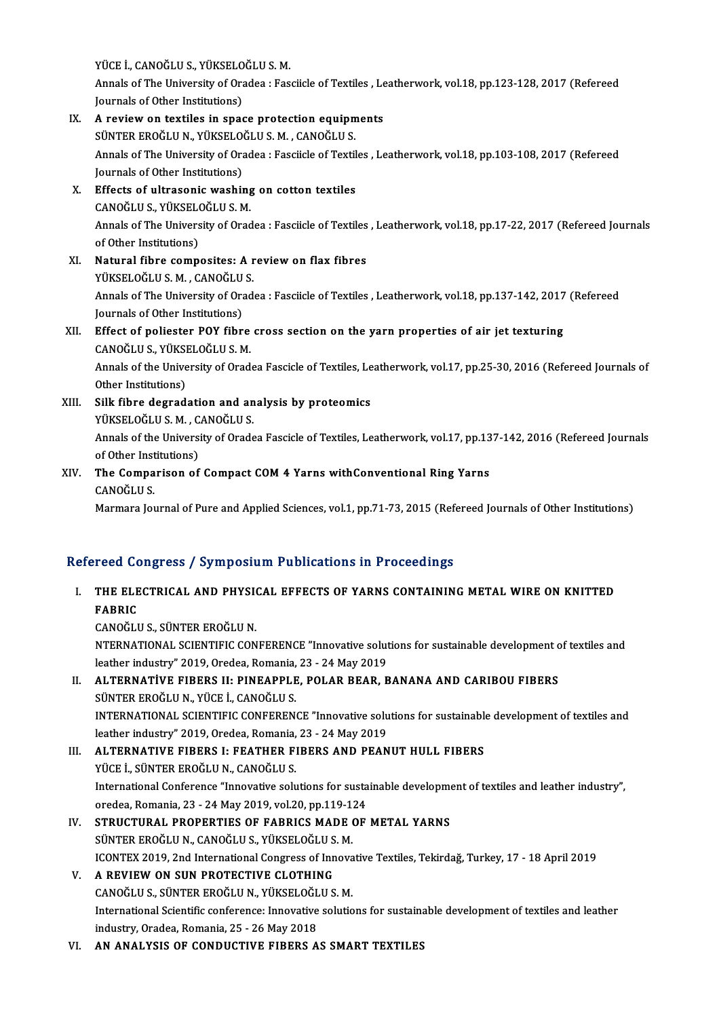YÜCE İ., CANOĞLU S., YÜKSELOĞLU S. M.<br>Annak of The University of Oradea : Ess

Annals of The University of Oradea : Fasciicle of Textiles , Leatherwork, vol.18, pp.123-128, 2017 (Refereed<br>Journals of Other Institutions) YÜCE İ., CANOĞLU S., YÜKSELO<br>Annals of The University of Ora<br>Journals of Other Institutions) Annals of The University of Oradea : Fasciicle of Textiles , Le<br>Journals of Other Institutions)<br>IX. A review on textiles in space protection equipments<br>SUNTED EDOČLUN, VÜKSELOČLUS M. GANOČLUS

- Journals of Other Institutions)<br>A review on textiles in space protection equipm<br>SÜNTER EROĞLU N., YÜKSELOĞLU S. M. , CANOĞLU S.<br>Annak of The University of Oradea : Eassiick of Textil Annals of The University of Oradea : Fasciicle of Textiles , Leatherwork, vol.18, pp.103-108, 2017 (Refereed Journals of Other Institutions) SÜNTER EROĞLU N., YÜKSELOĞLU S. M. , CANOĞLU S. Annals of The University of Oradea : Fasciicle of Textil<br>Journals of Other Institutions)<br>X. Effects of ultrasonic washing on cotton textiles<br>CANOČLUS VÜKSELOČLUS M Journals of Other Institutions)<br>Effects of ultrasonic washing<br>CANOĞLU S., YÜKSELOĞLU S. M.<br>Annals of The University of Ored Effects of ultrasonic washing on cotton textiles<br>CANOĞLU S., YÜKSELOĞLU S. M.<br>Annals of The University of Oradea : Fasciicle of Textiles , Leatherwork, vol.18, pp.17-22, 2017 (Refereed Journals<br>of Other Institutione) CANOĞLU S., YÜKSEL<br>Annals of The Univers<br>of Other Institutions)<br>Natural fibre comp Annals of The University of Oradea : Fasciicle of Textiles<br>of Other Institutions)<br>XI. Natural fibre composites: A review on flax fibres<br>vilveri Oğlus M. CANOğlus
- of Other Institutions)<br>Natural fibre composites: A r<br>YÜKSELOĞLU S. M. , CANOĞLU S.<br>Annak of The University of Orad Natural fibre composites: A review on flax fibres<br>YÜKSELOĞLU S. M. , CANOĞLU S.<br>Annals of The University of Oradea : Fasciicle of Textiles , Leatherwork, vol.18, pp.137-142, 2017 (Refereed<br>Journals of Other Institutione) YÜKSELOĞLU S. M. , CANOĞLU<br>Annals of The University of Ora<br>Journals of Other Institutions) Annals of The University of Oradea : Fasciicle of Textiles , Leatherwork, vol.18, pp.137-142, 2017<br>Journals of Other Institutions)<br>XII. Effect of poliester POY fibre cross section on the yarn properties of air jet texturin Journals of Other Institutions)<br>XII. Effect of poliester POY fibre cross section on the yarn properties of air jet texturing

## CANOĞLU S., YÜKSELOĞLU S. M.

Annals of the University of Oradea Fascicle of Textiles, Leatherwork, vol.17, pp.25-30, 2016 (Refereed Journals of Other Institutions) Annals of the University of Oradea Fascicle of Textiles, Le<br>Other Institutions)<br>XIII. Silk fibre degradation and analysis by proteomics<br>VIII. Silk fibre degradation and analysis by proteomics

Other Institutions)<br>Silk fibre degradation and an<br>YÜKSELOĞLU S.M. , CANOĞLU S.<br>Annak of the University of Orade Annals of the University of Oradea Fascicle of Textiles, Leatherwork, vol.17, pp.137-142, 2016 (Refereed Journals of Other Institutions) YÜKSELOĞLU S. M., CANOĞLU S. Annals of the University of Oradea Fascicle of Textiles, Leatherwork, vol.17, pp.13<br>of Other Institutions)<br>XIV. The Comparison of Compact COM 4 Yarns withConventional Ring Yarns<br>CANOČUUS

of Other Inst<br>The Compa<br>CANOĞLU S.<br>Marmara Iol CANOĞLU S.<br>Marmara Journal of Pure and Applied Sciences, vol.1, pp.71-73, 2015 (Refereed Journals of Other Institutions)

## Refereed Congress / Symposium Publications in Proceedings

efereed Congress / Symposium Publications in Proceedings<br>I. THE ELECTRICAL AND PHYSICAL EFFECTS OF YARNS CONTAINING METAL WIRE ON KNITTED TUUL<br>THE ELE<br>FABRIC<br>CANOČII FABRIC<br>CANOĞLU S., SÜNTER EROĞLU N.

FABRIC<br>CANOĞLU S., SÜNTER EROĞLU N.<br>NTERNATIONAL SCIENTIFIC CONFERENCE "Innovative solutions for sustainable development of textiles and<br>leather industry" 2019, Oradea, Bernania, 22, -24 Mey 2019. CANOĞLU S., SÜNTER EROĞLU N.<br>NTERNATIONAL SCIENTIFIC CONFERENCE "Innovative solut<br>leather industry" 2019, Oredea, Romania, 23 - 24 May 2019<br>ALTERNATİVE EIRERS II. BINEARRI E. POLAR REAR. B NTERNATIONAL SCIENTIFIC CONFERENCE "Innovative solutions for sustainable development of leather industry" 2019, Oredea, Romania, 23 - 24 May 2019<br>II. ALTERNATIVE FIBERS II: PINEAPPLE, POLAR BEAR, BANANA AND CARIBOU FIBERS<br>

# leather industry" 2019, Oredea, Romania, 23 - 24 May 2019<br>II. ALTERNATIVE FIBERS II: PINEAPPLE, POLAR BEAR, BANANA AND CARIBOU FIBERS<br>SÜNTER EROĞLU N., YÜCE İ., CANOĞLU S.

INTERNATIONAL SCIENTIFICCONFERENCE"Innovative solutions for sustainable developmentof textiles and SÜNTER EROĞLU N., YÜCE İ., CANOĞLU S.<br>INTERNATIONAL SCIENTIFIC CONFERENCE "Innovative solu<br>leather industry" 2019, Oredea, Romania, 23 - 24 May 2019<br>ALTERNATIVE EIRERS L. EEATHER EIRERS AND REAN

- III. ALTERNATIVE FIBERS I: FEATHER FIBERS AND PEANUT HULL FIBERS<br>YÜCE İ., SÜNTER EROĞLU N., CANOĞLU S. leather industry" 2019, Oredea, Romania,<br>ALTERNATIVE FIBERS I: FEATHER FI<br>YÜCE İ., SÜNTER EROĞLU N., CANOĞLU S.<br>International Conference "Innovative solu ALTERNATIVE FIBERS I: FEATHER FIBERS AND PEANUT HULL FIBERS<br>YÜCE İ., SÜNTER EROĞLU N., CANOĞLU S.<br>International Conference "Innovative solutions for sustainable development of textiles and leather industry",<br>aradaa Bamanja YÜCE İ., SÜNTER EROĞLU N., CANOĞLU S.<br>International Conference "Innovative solutions for susta<br>oredea, Romania, 23 - 24 May 2019, vol.20, pp.119-124<br>STRUCTURAL PRORERTIES OF FARRICS MADE OF International Conference "Innovative solutions for sustainable developme<br>oredea, Romania, 23 - 24 May 2019, vol.20, pp.119-124<br>IV. STRUCTURAL PROPERTIES OF FABRICS MADE OF METAL YARNS<br>SUNTER EROČLUN, CANOČLUS, VÜKSELOČLUS
- oredea, Romania, 23 24 May 2019, vol.20, pp.119-1.<br>STRUCTURAL PROPERTIES OF FABRICS MADE (<br>SÜNTER EROĞLU N., CANOĞLU S., YÜKSELOĞLU S. M.<br>ICONTEX 2019, 2nd International Congress of Inneva IV. STRUCTURAL PROPERTIES OF FABRICS MADE OF METAL YARNS<br>SÜNTER EROĞLU N., CANOĞLU S., YÜKSELOĞLU S. M.<br>ICONTEX 2019, 2nd International Congress of Innovative Textiles, Tekirdağ, Turkey, 17 - 18 April 2019<br>V. AREVIEW ON SU SÜNTER EROĞLU N., CANOĞLU S., YÜKSELOĞLU S<br>ICONTEX 2019, 2nd International Congress of Inn<br>V. A REVIEW ON SUN PROTECTIVE CLOTHING
- CANOĞLUS.,SÜNTEREROĞLUN.,YÜKSELOĞLUS.M. A REVIEW ON SUN PROTECTIVE CLOTHING<br>CANOĞLU S., SÜNTER EROĞLU N., YÜKSELOĞLU S. M.<br>International Scientific conference: Innovative solutions for sustainable development of textiles and leather<br>industry Oradea Bomania 25, 2 CANOĞLU S., SÜNTER EROĞLU N., YÜKSELOĞL<br>International Scientific conference: Innovative<br>industry, Oradea, Romania, 25 - 26 May 2018<br>AN ANALYSIS OF CONDUCTIVE EIRERS A International Scientific conference: Innovative solutions for sustaina<br>industry, Oradea, Romania, 25 - 26 May 2018<br>VI. AN ANALYSIS OF CONDUCTIVE FIBERS AS SMART TEXTILES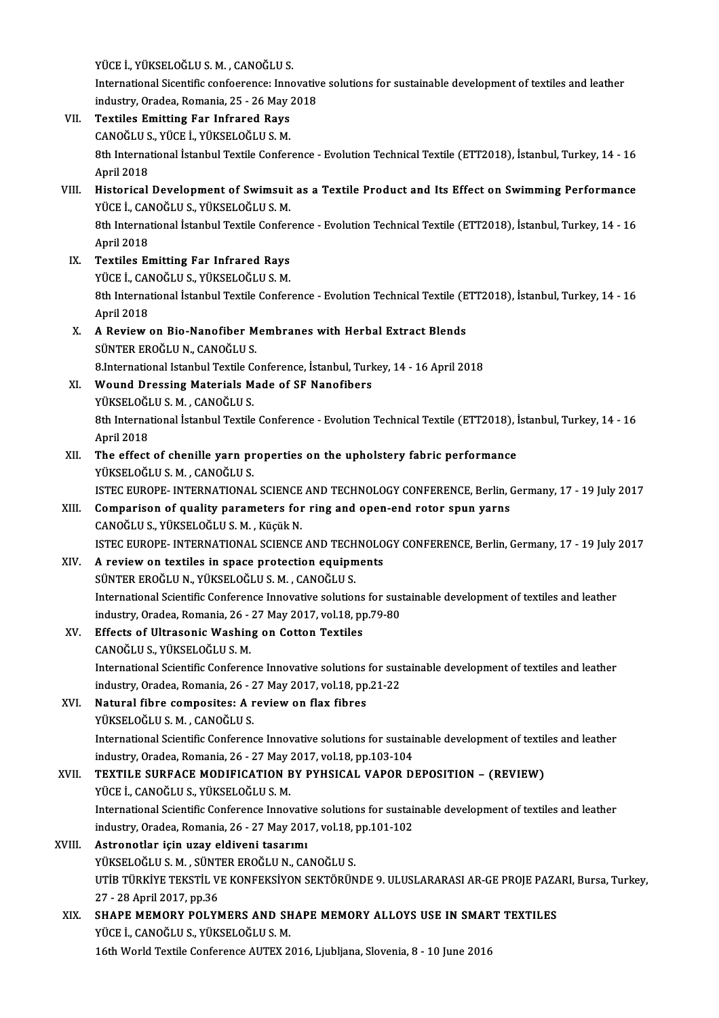YÜCEİ.,YÜKSELOĞLUS.M. ,CANOĞLUS.

International Sicentific confoerence: Innovative solutions for sustainable development of textiles and leather YÜCE İ., YÜKSELOĞLU S. M. , CANOĞLU S.<br>International Sicentific confoerence: Innovativ<br>industry, Oradea, Romania, 25 - 26 May 2018<br>Textiles Emitting For Infrance Boys

- VII. Textiles Emitting Far Infrared Rays industry, Oradea, Romania, 25 - 26 May<br>Textiles Emitting Far Infrared Rays<br>CANOĞLU S., YÜCE İ., YÜKSELOĞLU S. M.<br><sup>9th Intornational İstanbul Textile Confor</sub></sup> 8th International İstanbul Textile Conference - Evolution Technical Textile (ETT2018), İstanbul, Turkey, 14 - 16<br>April 2018 CANOĞLU S., YÜCE İ., YÜKSELOĞLU S. M. 8th International İstanbul Textile Conference - Evolution Technical Textile (ETT2018), İstanbul, Turkey, 14 - 16<br>April 2018<br>VIII. Historical Development of Swimsuit as a Textile Product and Its Effect on Swimming Performan
- April 2018<br>Historical Development of Swimsuit<br>YÜCE İ., CANOĞLU S., YÜKSELOĞLU S. M.<br><sup>9th Intornational İstanbul Teytile Confor</sup> Historical Development of Swimsuit as a Textile Product and Its Effect on Swimming Performance<br>YÜCE İ., CANOĞLU S., YÜKSELOĞLU S. M.<br>8th International İstanbul Textile Conference - Evolution Technical Textile (ETT2018), İs YÜCE İ., CAI<br>8th Interna<br>April 2018<br>Textiles Er April 2018<br>IX. Textiles Emitting Far Infrared Rays
- YÜCEİ.,CANOĞLUS.,YÜKSELOĞLUS.M. Textiles Emitting Far Infrared Rays<br>YÜCE İ., CANOĞLU S., YÜKSELOĞLU S. M.<br>8th International İstanbul Textile Conference - Evolution Technical Textile (ETT2018), İstanbul, Turkey, 14 - 16<br>April 2019 YÜCE İ., CAI<br>8th Interna<br>April 2018<br>A Poview
- 8th International İstanbul Textile Conference Evolution Technical Textile (E<br>April 2018<br>X. A Review on Bio-Nanofiber Membranes with Herbal Extract Blends<br>SUNTER EROČUJN, CANOČUJS April 2018<br>X. A Review on Bio-Nanofiber Membranes with Herbal Extract Blends<br>SÜNTER EROĞLU N., CANOĞLU S. 8. Review on Bio-Nanofiber Membranes with Herbal Extract Blends<br>SÜNTER EROĞLU N., CANOĞLU S.<br>8.International Istanbul Textile Conference, İstanbul, Turkey, 14 - 16 April 2018<br>Wound Dressing Materiala Made of SE Nanofibers
- XI. Wound Dressing Materials Made of SF Nanofibers 8.International Istanbul Textile C<br>Wound Dressing Materials M<br>YÜKSELOĞLU S. M. , CANOĞLU S.<br><sup>9th International İstanbul Teytile</sub></sup> 8th International İstanbul Textile Conference - Evolution Technical Textile (ETT2018), İstanbul, Turkey, 14 - 16<br>April 2018 YÜKSELOĞLU S. M., CANOĞLU S. 8th International Istanbul Textile Conference - Evolution Technical Textile (ETT2018), i<br>April 2018<br>XII. The effect of chenille yarn properties on the upholstery fabric performance<br>VIIVEELOČELLS M. CANOČELLS
- April 2018<br>The effect of chenille yarn pr<br>YÜKSELOĞLU S. M. , CANOĞLU S.<br>ISTEC EUPOPE INTERNATIONAL The effect of chenille yarn properties on the upholstery fabric performance<br>YÜKSELOĞLU S. M. , CANOĞLU S.<br>ISTEC EUROPE- INTERNATIONAL SCIENCE AND TECHNOLOGY CONFERENCE, Berlin, Germany, 17 - 19 July 2017<br>Comparison of qual
- YÜKSELOĞLU S. M. , CANOĞLU S.<br>ISTEC EUROPE- INTERNATIONAL SCIENCE AND TECHNOLOGY CONFERENCE, Berlin, (<br>XIII. Comparison of quality parameters for ring and open-end rotor spun yarns<br>CANOĞLU S., YÜKSELOĞLU S. M. , Küçük N. ISTEC EUROPE- INTERNATIONAL SCIENCE<br>Comparison of quality parameters for<br>CANOĞLU S., YÜKSELOĞLU S. M. , Küçük N.<br>ISTEC EUROPE INTERNATIONAL SCIENCE ISTEC EUROPE- INTERNATIONAL SCIENCE AND TECHNOLOGY CONFERENCE, Berlin, Germany, 17 - 19 July 2017 CANOĞLU S., YÜKSELOĞLU S. M. , Küçük N.<br>ISTEC EUROPE- INTERNATIONAL SCIENCE AND TECHNOLO<br>XIV. A review on textiles in space protection equipments<br>SUNTER EPOČLU N. VÜKSELOĞLU S. M. GANOĞLU S.
- ISTEC EUROPE- INTERNATIONAL SCIENCE AND TECH<br>A review on textiles in space protection equipm<br>SÜNTER EROĞLU N., YÜKSELOĞLU S. M. , CANOĞLU S.<br>International Scientific Conference Innevative selution A review on textiles in space protection equipments<br>SÜNTER EROĞLU N., YÜKSELOĞLU S. M. , CANOĞLU S.<br>International Scientific Conference Innovative solutions for sustainable development of textiles and leather<br>industry Orad SÜNTER EROĞLU N., YÜKSELOĞLU S. M. , CANOĞLU S.<br>International Scientific Conference Innovative solutions for sus<br>industry, Oradea, Romania, 26 - 27 May 2017, vol.18, pp.79-80<br>Effecte of Illtresonia Washing on Cotton Teutil International Scientific Conference Innovative solutions<br>industry, Oradea, Romania, 26 - 27 May 2017, vol.18, pp<br>XV. Effects of Ultrasonic Washing on Cotton Textiles<br>CANOČLUS VÜKSELOČLUS M
- industry, Oradea, Romania, 26 -<br>Effects of Ultrasonic Washin<br>CANOĞLU S., YÜKSELOĞLU S. M.<br>International Scientific Conferen

Effects of Ultrasonic Washing on Cotton Textiles<br>CANOĞLU S., YÜKSELOĞLU S. M.<br>International Scientific Conference Innovative solutions for sustainable development of textiles and leather CANOĞLU S., YÜKSELOĞLU S. M.<br>International Scientific Conference Innovative solutions for sus<br>industry, Oradea, Romania, 26 - 27 May 2017, vol.18, pp.21-22<br>Natural fibre compositos: A review on flow fibres International Scientific Conference Innovative solutions<br>industry, Oradea, Romania, 26 - 27 May 2017, vol.18, pp<br>XVI. Natural fibre composites: A review on flax fibres<br>vilves: Oğlus M. CANOğlus

industry, Oradea, Romania, 26 - 27 May 2017, vol.18, pp.21-22<br>Natural fibre composites: A review on flax fibres<br>YÜKSELOĞLU S. M. , CANOĞLU S. Natural fibre composites: A review on flax fibres<br>YÜKSELOĞLU S. M. , CANOĞLU S.<br>International Scientific Conference Innovative solutions for sustainable development of textiles and leather<br>industry Oradea Bomania 26, 27 Ma YÜKSELOĞLU S. M. , CANOĞLU S.<br>International Scientific Conference Innovative solutions for sustai<br>industry, Oradea, Romania, 26 - 27 May 2017, vol.18, pp.103-104<br>TEXTU E SURFACE MODIEICATION BY RYHSICAL VAROR D.

International Scientific Conference Innovative solutions for sustainable development of textil<br>industry, Oradea, Romania, 26 - 27 May 2017, vol.18, pp.103-104<br>XVII. TEXTILE SURFACE MODIFICATION BY PYHSICAL VAPOR DEPOSITION industry, Oradea, Romania, 26 - 27 May<br>TEXTILE SURFACE MODIFICATION E<br>YÜCE İ., CANOĞLU S., YÜKSELOĞLU S. M.<br>International Scientific Conference Inneu TEXTILE SURFACE MODIFICATION BY PYHSICAL VAPOR DEPOSITION – (REVIEW)<br>YÜCE İ., CANOĞLU S., YÜKSELOĞLU S. M.<br>International Scientific Conference Innovative solutions for sustainable development of textiles and leather<br>indust

YÜCE İ., CANOĞLU S., YÜKSELOĞLU S. M.<br>International Scientific Conference Innovative solutions for sustai<br>industry, Oradea, Romania, 26 - 27 May 2017, vol.18, pp.101-102<br>Astronatlar isin ugay aldiyani tasarımı International Scientific Conference Innovation<br>industry, Oradea, Romania, 26 - 27 May 201<br>XVIII. Astronotlar için uzay eldiveni tasarımı<br>vüvcel Qğl II S.M. SÜNTER ERQĞLUN, CA

## industry, Oradea, Romania, 26 - 27 May 2017, vol.18, pp.101-102<br>Astronotlar için uzay eldiveni tasarımı<br>YÜKSELOĞLU S. M. , SÜNTER EROĞLU N., CANOĞLU S. Astronotlar için uzay eldiveni tasarımı<br>YÜKSELOĞLU S. M. , SÜNTER EROĞLU N., CANOĞLU S.<br>UTİB TÜRKİYE TEKSTİL VE KONFEKSİYON SEKTÖRÜNDE 9. ULUSLARARASI AR-GE PROJE PAZARI, Bursa, Turkey, YÜKSELOĞLU S. M. , SÜNT<br>UTİB TÜRKİYE TEKSTİL V.<br>27 - 28 April 2017, pp.36<br>SHAPE MEMORY POLYN UTIB TÜRKIYE TEKSTIL VE KONFEKSIYON SEKTÖRÜNDE 9. ULUSLARARASI AR-GE PROJE PAZA<br>27 - 28 April 2017, pp.36<br>XIX. SHAPE MEMORY POLYMERS AND SHAPE MEMORY ALLOYS USE IN SMART TEXTILES<br>VÜCE L CANOČUUS VÜKSELOČUUS M

27 - 28 April 2017, pp.36<br>SHAPE MEMORY POLYMERS AND SH<br>YÜCE İ., CANOĞLU S., YÜKSELOĞLU S. M.<br>16th World Toutile Conference AUTEY 2 SHAPE MEMORY POLYMERS AND SHAPE MEMORY ALLOYS USE IN SMAR<br>YÜCE İ., CANOĞLU S., YÜKSELOĞLU S. M.<br>16th World Textile Conference AUTEX 2016, Ljubljana, Slovenia, 8 - 10 June 2016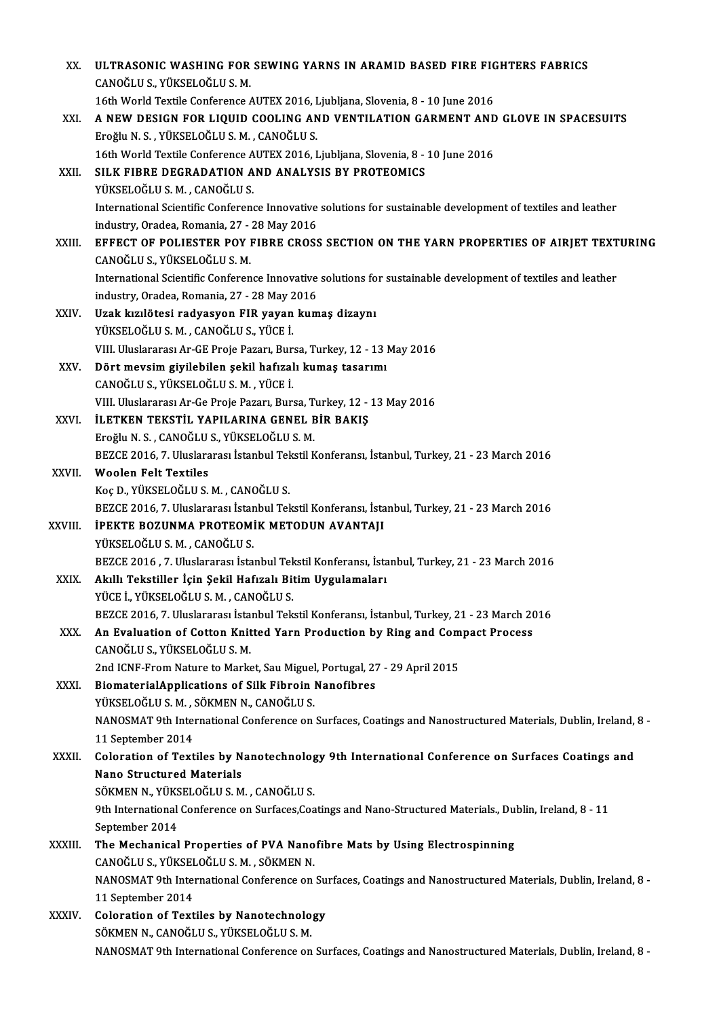| XX.     | ULTRASONIC WASHING FOR SEWING YARNS IN ARAMID BASED FIRE FIGHTERS FABRICS                                                             |
|---------|---------------------------------------------------------------------------------------------------------------------------------------|
|         | CANOĞLU S., YÜKSELOĞLU S. M.                                                                                                          |
|         | 16th World Textile Conference AUTEX 2016, Ljubljana, Slovenia, 8 - 10 June 2016                                                       |
| XXI.    | A NEW DESIGN FOR LIQUID COOLING AND VENTILATION GARMENT AND GLOVE IN SPACESUITS                                                       |
|         | Eroğlu N. S., YÜKSELOĞLU S. M., CANOĞLU S.                                                                                            |
|         | 16th World Textile Conference AUTEX 2016, Ljubljana, Slovenia, 8 - 10 June 2016                                                       |
| XXII.   | SILK FIBRE DEGRADATION AND ANALYSIS BY PROTEOMICS                                                                                     |
|         | YÜKSELOĞLU S.M., CANOĞLU S.                                                                                                           |
|         | International Scientific Conference Innovative solutions for sustainable development of textiles and leather                          |
|         | industry, Oradea, Romania, 27 - 28 May 2016                                                                                           |
| XXIII.  | EFFECT OF POLIESTER POY FIBRE CROSS SECTION ON THE YARN PROPERTIES OF AIRJET TEXTURING                                                |
|         | CANOĞLU S., YÜKSELOĞLU S. M.                                                                                                          |
|         | International Scientific Conference Innovative solutions for sustainable development of textiles and leather                          |
|         | industry, Oradea, Romania, 27 - 28 May 2016                                                                                           |
| XXIV.   | Uzak kızılötesi radyasyon FIR yayan kumaş dizaynı                                                                                     |
|         | YÜKSELOĞLU S.M., CANOĞLU S., YÜCE İ.                                                                                                  |
|         | VIII. Uluslararası Ar-GE Proje Pazarı, Bursa, Turkey, 12 - 13 May 2016                                                                |
| XXV.    | Dört mevsim giyilebilen şekil hafızalı kumaş tasarımı<br>CANOĞLU S., YÜKSELOĞLU S. M., YÜCE İ.                                        |
|         | VIII. Uluslararası Ar-Ge Proje Pazarı, Bursa, Turkey, 12 - 13 May 2016                                                                |
| XXVI.   | İLETKEN TEKSTİL YAPILARINA GENEL BİR BAKIŞ                                                                                            |
|         | Eroğlu N. S., CANOĞLU S., YÜKSELOĞLU S. M.                                                                                            |
|         | BEZCE 2016, 7. Uluslararası İstanbul Tekstil Konferansı, İstanbul, Turkey, 21 - 23 March 2016                                         |
| XXVII.  | <b>Woolen Felt Textiles</b>                                                                                                           |
|         | Koç D., YÜKSELOĞLU S. M., CANOĞLU S.                                                                                                  |
|         | BEZCE 2016, 7. Uluslararası İstanbul Tekstil Konferansı, İstanbul, Turkey, 21 - 23 March 2016                                         |
| XXVIII. | <b>İPEKTE BOZUNMA PROTEOMİK METODUN AVANTAJI</b>                                                                                      |
|         | YÜKSELOĞLU S.M., CANOĞLU S.                                                                                                           |
|         | BEZCE 2016, 7. Uluslararası İstanbul Tekstil Konferansı, İstanbul, Turkey, 21 - 23 March 2016                                         |
| XXIX.   | Akıllı Tekstiller İçin Şekil Hafızalı Bitim Uygulamaları                                                                              |
|         | YÜCE İ., YÜKSELOĞLU S. M., CANOĞLU S.                                                                                                 |
|         | BEZCE 2016, 7. Uluslararası İstanbul Tekstil Konferansı, İstanbul, Turkey, 21 - 23 March 2016                                         |
| XXX.    | An Evaluation of Cotton Knitted Yarn Production by Ring and Compact Process                                                           |
|         | CANOĞLU S., YÜKSELOĞLU S. M.                                                                                                          |
|         | 2nd ICNF-From Nature to Market, Sau Miguel, Portugal, 27 - 29 April 2015<br><b>BiomaterialApplications of Silk Fibroin Nanofibres</b> |
| XXXI.   | YÜKSELOĞLU S. M., SÖKMEN N., CANOĞLU S.                                                                                               |
|         | NANOSMAT 9th International Conference on Surfaces, Coatings and Nanostructured Materials, Dublin, Ireland, 8 -                        |
|         | 11 September 2014                                                                                                                     |
| XXXII.  | Coloration of Textiles by Nanotechnology 9th International Conference on Surfaces Coatings and                                        |
|         | <b>Nano Structured Materials</b>                                                                                                      |
|         | SÖKMEN N., YÜKSELOĞLU S. M., CANOĞLU S.                                                                                               |
|         | 9th International Conference on Surfaces, Coatings and Nano-Structured Materials., Dublin, Ireland, 8 - 11                            |
|         | September 2014                                                                                                                        |
| XXXIII. | The Mechanical Properties of PVA Nanofibre Mats by Using Electrospinning                                                              |
|         | CANOĞLU S., YÜKSELOĞLU S. M., SÖKMEN N.                                                                                               |
|         | NANOSMAT 9th International Conference on Surfaces, Coatings and Nanostructured Materials, Dublin, Ireland, 8 -                        |
|         | 11 September 2014                                                                                                                     |
| XXXIV.  | <b>Coloration of Textiles by Nanotechnology</b>                                                                                       |
|         | SÖKMEN N., CANOĞLU S., YÜKSELOĞLU S. M.                                                                                               |
|         | NANOSMAT 9th International Conference on Surfaces, Coatings and Nanostructured Materials, Dublin, Ireland, 8 -                        |